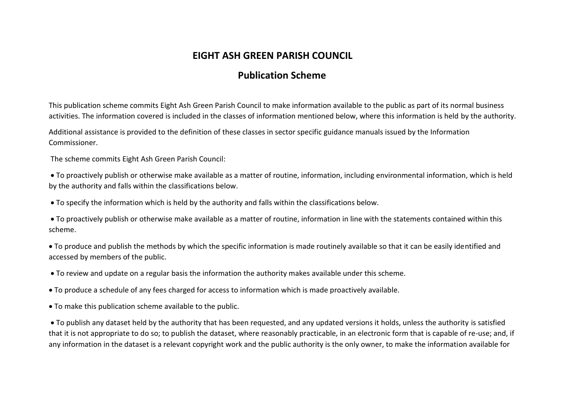# **EIGHT ASH GREEN PARISH COUNCIL**

## **Publication Scheme**

This publication scheme commits Eight Ash Green Parish Council to make information available to the public as part of its normal business activities. The information covered is included in the classes of information mentioned below, where this information is held by the authority.

Additional assistance is provided to the definition of these classes in sector specific guidance manuals issued by the Information Commissioner.

The scheme commits Eight Ash Green Parish Council:

• To proactively publish or otherwise make available as a matter of routine, information, including environmental information, which is held by the authority and falls within the classifications below.

• To specify the information which is held by the authority and falls within the classifications below.

• To proactively publish or otherwise make available as a matter of routine, information in line with the statements contained within this scheme.

• To produce and publish the methods by which the specific information is made routinely available so that it can be easily identified and accessed by members of the public.

• To review and update on a regular basis the information the authority makes available under this scheme.

• To produce a schedule of any fees charged for access to information which is made proactively available.

• To make this publication scheme available to the public.

• To publish any dataset held by the authority that has been requested, and any updated versions it holds, unless the authority is satisfied that it is not appropriate to do so; to publish the dataset, where reasonably practicable, in an electronic form that is capable of re-use; and, if any information in the dataset is a relevant copyright work and the public authority is the only owner, to make the information available for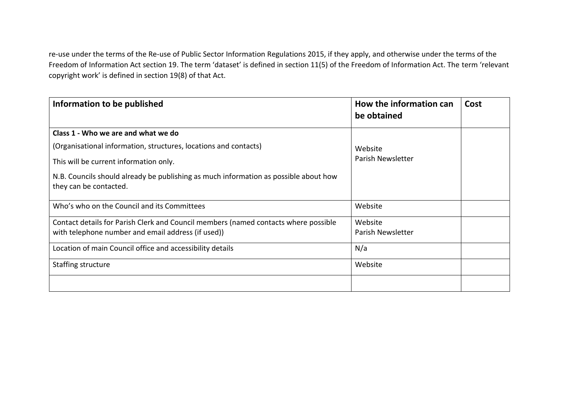re-use under the terms of the Re-use of Public Sector Information Regulations 2015, if they apply, and otherwise under the terms of the Freedom of Information Act section 19. The term 'dataset' is defined in section 11(5) of the Freedom of Information Act. The term 'relevant copyright work' is defined in section 19(8) of that Act.

| Information to be published                                                                                    | How the information can<br>be obtained | Cost |
|----------------------------------------------------------------------------------------------------------------|----------------------------------------|------|
| Class 1 - Who we are and what we do                                                                            |                                        |      |
| (Organisational information, structures, locations and contacts)                                               | Website                                |      |
| This will be current information only.                                                                         | Parish Newsletter                      |      |
| N.B. Councils should already be publishing as much information as possible about how<br>they can be contacted. |                                        |      |
| Who's who on the Council and its Committees                                                                    | Website                                |      |
| Contact details for Parish Clerk and Council members (named contacts where possible                            | Website                                |      |
| with telephone number and email address (if used))                                                             | Parish Newsletter                      |      |
| Location of main Council office and accessibility details                                                      | N/a                                    |      |
| Staffing structure                                                                                             | Website                                |      |
|                                                                                                                |                                        |      |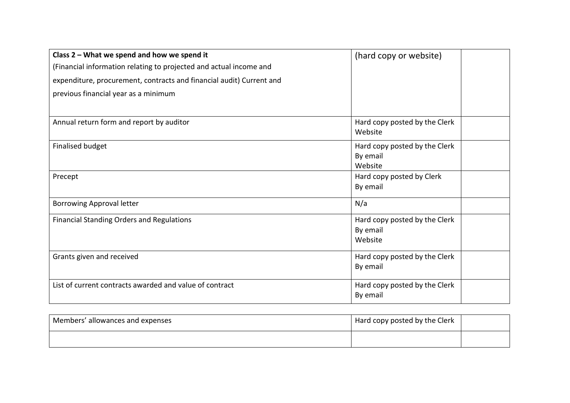| Class 2 - What we spend and how we spend it                          | (hard copy or website)                               |
|----------------------------------------------------------------------|------------------------------------------------------|
| (Financial information relating to projected and actual income and   |                                                      |
| expenditure, procurement, contracts and financial audit) Current and |                                                      |
| previous financial year as a minimum                                 |                                                      |
|                                                                      |                                                      |
| Annual return form and report by auditor                             | Hard copy posted by the Clerk<br>Website             |
| Finalised budget                                                     | Hard copy posted by the Clerk<br>By email<br>Website |
| Precept                                                              | Hard copy posted by Clerk<br>By email                |
| <b>Borrowing Approval letter</b>                                     | N/a                                                  |
| <b>Financial Standing Orders and Regulations</b>                     | Hard copy posted by the Clerk<br>By email<br>Website |
| Grants given and received                                            | Hard copy posted by the Clerk<br>By email            |
| List of current contracts awarded and value of contract              | Hard copy posted by the Clerk<br>By email            |

| Members' allowances and expenses | Hard copy posted by the Clerk |  |
|----------------------------------|-------------------------------|--|
|                                  |                               |  |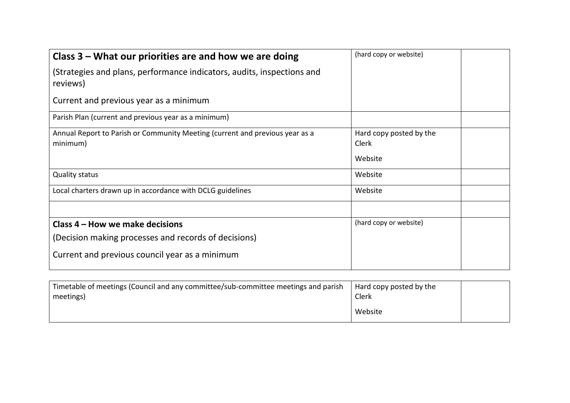| Class $3$ – What our priorities are and how we are doing                                 | (hard copy or website)           |
|------------------------------------------------------------------------------------------|----------------------------------|
| (Strategies and plans, performance indicators, audits, inspections and<br>reviews)       |                                  |
| Current and previous year as a minimum                                                   |                                  |
| Parish Plan (current and previous year as a minimum)                                     |                                  |
| Annual Report to Parish or Community Meeting (current and previous year as a<br>minimum) | Hard copy posted by the<br>Clerk |
|                                                                                          | Website                          |
| <b>Quality status</b>                                                                    | Website                          |
| Local charters drawn up in accordance with DCLG guidelines                               | Website                          |
|                                                                                          |                                  |
| Class 4 – How we make decisions                                                          | (hard copy or website)           |
| (Decision making processes and records of decisions)                                     |                                  |
| Current and previous council year as a minimum                                           |                                  |

| Timetable of meetings (Council and any committee/sub-committee meetings and parish<br>meetings) | Hard copy posted by the<br>Clerk |  |
|-------------------------------------------------------------------------------------------------|----------------------------------|--|
|                                                                                                 | Website                          |  |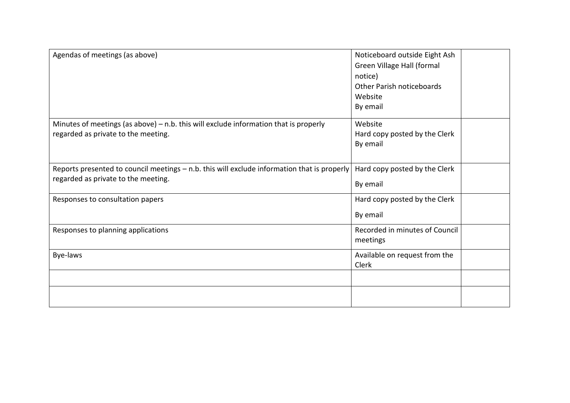| Agendas of meetings (as above)                                                                                                     | Noticeboard outside Eight Ash<br>Green Village Hall (formal<br>notice)<br>Other Parish noticeboards<br>Website<br>By email |  |
|------------------------------------------------------------------------------------------------------------------------------------|----------------------------------------------------------------------------------------------------------------------------|--|
| Minutes of meetings (as above) $-$ n.b. this will exclude information that is properly<br>regarded as private to the meeting.      | Website<br>Hard copy posted by the Clerk<br>By email                                                                       |  |
| Reports presented to council meetings - n.b. this will exclude information that is properly<br>regarded as private to the meeting. | Hard copy posted by the Clerk<br>By email                                                                                  |  |
| Responses to consultation papers                                                                                                   | Hard copy posted by the Clerk<br>By email                                                                                  |  |
| Responses to planning applications                                                                                                 | Recorded in minutes of Council<br>meetings                                                                                 |  |
| Bye-laws                                                                                                                           | Available on request from the<br>Clerk                                                                                     |  |
|                                                                                                                                    |                                                                                                                            |  |
|                                                                                                                                    |                                                                                                                            |  |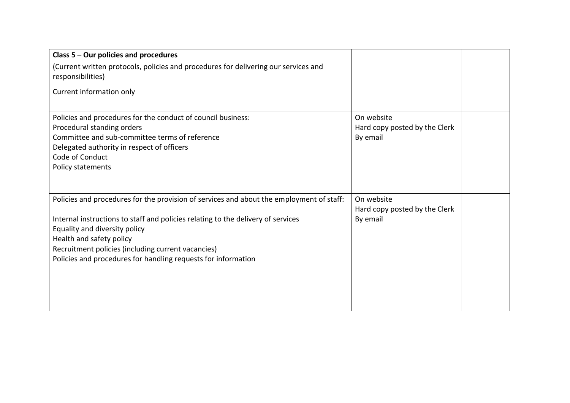| Class 5 - Our policies and procedures                                                                                                                                                                                                                                                                                                                            |                                                         |  |
|------------------------------------------------------------------------------------------------------------------------------------------------------------------------------------------------------------------------------------------------------------------------------------------------------------------------------------------------------------------|---------------------------------------------------------|--|
| (Current written protocols, policies and procedures for delivering our services and<br>responsibilities)                                                                                                                                                                                                                                                         |                                                         |  |
| Current information only                                                                                                                                                                                                                                                                                                                                         |                                                         |  |
| Policies and procedures for the conduct of council business:<br>Procedural standing orders<br>Committee and sub-committee terms of reference<br>Delegated authority in respect of officers<br>Code of Conduct<br>Policy statements                                                                                                                               | On website<br>Hard copy posted by the Clerk<br>By email |  |
| Policies and procedures for the provision of services and about the employment of staff:<br>Internal instructions to staff and policies relating to the delivery of services<br>Equality and diversity policy<br>Health and safety policy<br>Recruitment policies (including current vacancies)<br>Policies and procedures for handling requests for information | On website<br>Hard copy posted by the Clerk<br>By email |  |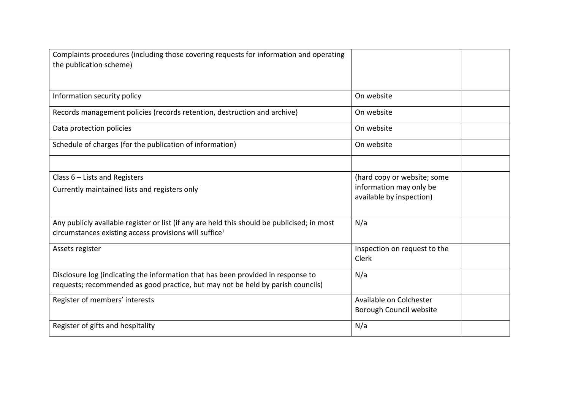| Complaints procedures (including those covering requests for information and operating<br>the publication scheme)                                                   |                                                                                    |  |
|---------------------------------------------------------------------------------------------------------------------------------------------------------------------|------------------------------------------------------------------------------------|--|
| Information security policy                                                                                                                                         | On website                                                                         |  |
| Records management policies (records retention, destruction and archive)                                                                                            | On website                                                                         |  |
| Data protection policies                                                                                                                                            | On website                                                                         |  |
| Schedule of charges (for the publication of information)                                                                                                            | On website                                                                         |  |
|                                                                                                                                                                     |                                                                                    |  |
| Class $6$ – Lists and Registers<br>Currently maintained lists and registers only                                                                                    | (hard copy or website; some<br>information may only be<br>available by inspection) |  |
| Any publicly available register or list (if any are held this should be publicised; in most<br>circumstances existing access provisions will suffice <sup>)</sup>   | N/a                                                                                |  |
| Assets register                                                                                                                                                     | Inspection on request to the<br>Clerk                                              |  |
| Disclosure log (indicating the information that has been provided in response to<br>requests; recommended as good practice, but may not be held by parish councils) | N/a                                                                                |  |
| Register of members' interests                                                                                                                                      | Available on Colchester<br>Borough Council website                                 |  |
| Register of gifts and hospitality                                                                                                                                   | N/a                                                                                |  |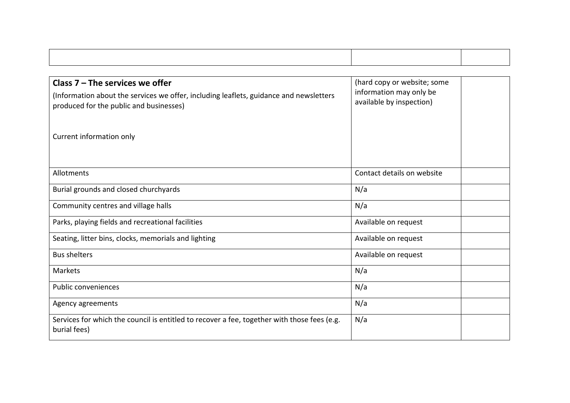| Class $7$ – The services we offer                                                                           | (hard copy or website; some                         |
|-------------------------------------------------------------------------------------------------------------|-----------------------------------------------------|
| (Information about the services we offer, including leaflets, guidance and newsletters                      | information may only be<br>available by inspection) |
| produced for the public and businesses)                                                                     |                                                     |
|                                                                                                             |                                                     |
| Current information only                                                                                    |                                                     |
|                                                                                                             |                                                     |
|                                                                                                             |                                                     |
| Allotments                                                                                                  | Contact details on website                          |
| Burial grounds and closed churchyards                                                                       | N/a                                                 |
| Community centres and village halls                                                                         | N/a                                                 |
| Parks, playing fields and recreational facilities                                                           | Available on request                                |
| Seating, litter bins, clocks, memorials and lighting                                                        | Available on request                                |
| <b>Bus shelters</b>                                                                                         | Available on request                                |
| Markets                                                                                                     | N/a                                                 |
| Public conveniences                                                                                         | N/a                                                 |
| Agency agreements                                                                                           | N/a                                                 |
| Services for which the council is entitled to recover a fee, together with those fees (e.g.<br>burial fees) | N/a                                                 |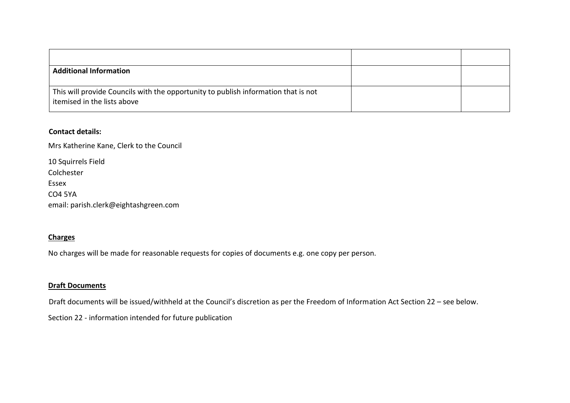| <b>Additional Information</b>                                                                                     |  |
|-------------------------------------------------------------------------------------------------------------------|--|
| This will provide Councils with the opportunity to publish information that is not<br>itemised in the lists above |  |

### **Contact details:**

Mrs Katherine Kane, Clerk to the Council

| 10 Squirrels Field                    |
|---------------------------------------|
| Colchester                            |
| Essex                                 |
| <b>CO4 5YA</b>                        |
| email: parish.clerk@eightashgreen.com |

### **Charges**

No charges will be made for reasonable requests for copies of documents e.g. one copy per person.

#### **Draft Documents**

Draft documents will be issued/withheld at the Council's discretion as per the Freedom of Information Act Section 22 – see below.

Section 22 - information intended for future publication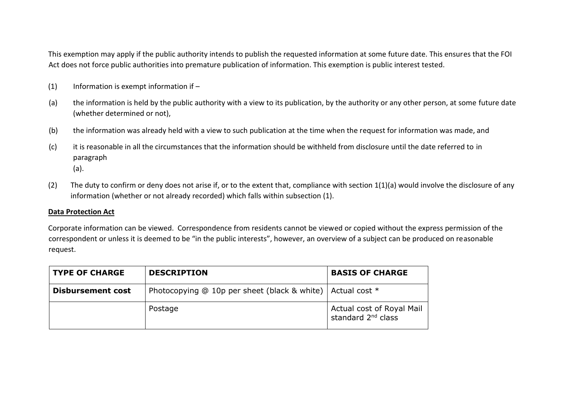This exemption may apply if the public authority intends to publish the requested information at some future date. This ensures that the FOI Act does not force public authorities into premature publication of information. This exemption is public interest tested.

- $(1)$  Information is exempt information if –
- (a) the information is held by the public authority with a view to its publication, by the authority or any other person, at some future date (whether determined or not),
- (b) the information was already held with a view to such publication at the time when the request for information was made, and
- (c) it is reasonable in all the circumstances that the information should be withheld from disclosure until the date referred to in paragraph (a).
- (2) The duty to confirm or deny does not arise if, or to the extent that, compliance with section 1(1)(a) would involve the disclosure of any information (whether or not already recorded) which falls within subsection (1).

#### **Data Protection Act**

Corporate information can be viewed. Correspondence from residents cannot be viewed or copied without the express permission of the correspondent or unless it is deemed to be "in the public interests", however, an overview of a subject can be produced on reasonable request.

| <b>TYPE OF CHARGE</b>    | <b>DESCRIPTION</b>                                             | <b>BASIS OF CHARGE</b>                                      |
|--------------------------|----------------------------------------------------------------|-------------------------------------------------------------|
| <b>Disbursement cost</b> | Photocopying @ 10p per sheet (black & white)   Actual cost $*$ |                                                             |
|                          | Postage                                                        | Actual cost of Royal Mail<br>standard 2 <sup>nd</sup> class |